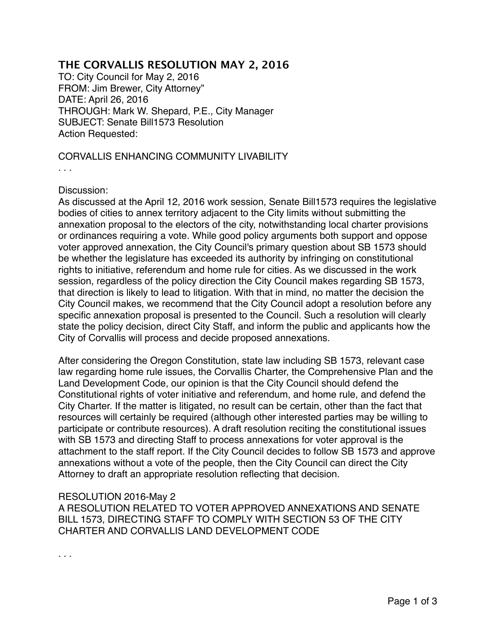## **THE CORVALLIS RESOLUTION MAY 2, 2016**

TO: City Council for May 2, 2016 FROM: Jim Brewer, City Attorney" DATE: April 26, 2016 THROUGH: Mark W. Shepard, P.E., City Manager SUBJECT: Senate Bill1573 Resolution Action Requested:

## CORVALLIS ENHANCING COMMUNITY LIVABILITY

. . .

## Discussion:

As discussed at the April 12, 2016 work session, Senate Bill1573 requires the legislative bodies of cities to annex territory adjacent to the City limits without submitting the annexation proposal to the electors of the city, notwithstanding local charter provisions or ordinances requiring a vote. While good policy arguments both support and oppose voter approved annexation, the City Council's primary question about SB 1573 should be whether the legislature has exceeded its authority by infringing on constitutional rights to initiative, referendum and home rule for cities. As we discussed in the work session, regardless of the policy direction the City Council makes regarding SB 1573, that direction is likely to lead to litigation. With that in mind, no matter the decision the City Council makes, we recommend that the City Council adopt a resolution before any specific annexation proposal is presented to the Council. Such a resolution will clearly state the policy decision, direct City Staff, and inform the public and applicants how the City of Corvallis will process and decide proposed annexations.

After considering the Oregon Constitution, state law including SB 1573, relevant case law regarding home rule issues, the Corvallis Charter, the Comprehensive Plan and the Land Development Code, our opinion is that the City Council should defend the Constitutional rights of voter initiative and referendum, and home rule, and defend the City Charter. If the matter is litigated, no result can be certain, other than the fact that resources will certainly be required (although other interested parties may be willing to participate or contribute resources). A draft resolution reciting the constitutional issues with SB 1573 and directing Staff to process annexations for voter approval is the attachment to the staff report. If the City Council decides to follow SB 1573 and approve annexations without a vote of the people, then the City Council can direct the City Attorney to draft an appropriate resolution reflecting that decision.

## RESOLUTION 2016-May 2

A RESOLUTION RELATED TO VOTER APPROVED ANNEXATIONS AND SENATE BILL 1573, DIRECTING STAFF TO COMPLY WITH SECTION 53 OF THE CITY CHARTER AND CORVALLIS LAND DEVELOPMENT CODE

. . .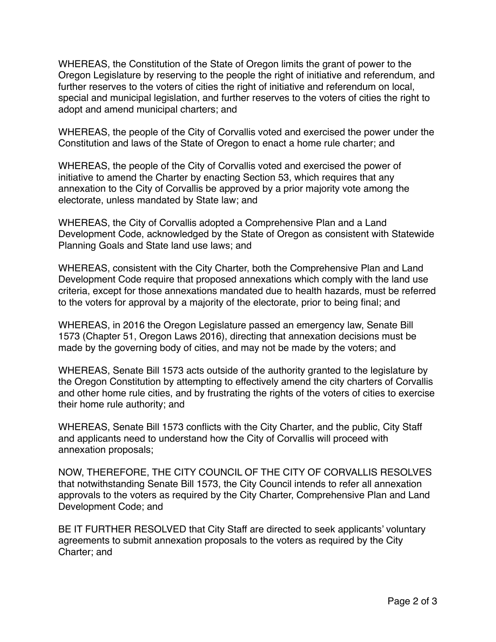WHEREAS, the Constitution of the State of Oregon limits the grant of power to the Oregon Legislature by reserving to the people the right of initiative and referendum, and further reserves to the voters of cities the right of initiative and referendum on local, special and municipal legislation, and further reserves to the voters of cities the right to adopt and amend municipal charters; and

WHEREAS, the people of the City of Corvallis voted and exercised the power under the Constitution and laws of the State of Oregon to enact a home rule charter; and

WHEREAS, the people of the City of Corvallis voted and exercised the power of initiative to amend the Charter by enacting Section 53, which requires that any annexation to the City of Corvallis be approved by a prior majority vote among the electorate, unless mandated by State law; and

WHEREAS, the City of Corvallis adopted a Comprehensive Plan and a Land Development Code, acknowledged by the State of Oregon as consistent with Statewide Planning Goals and State land use laws; and

WHEREAS, consistent with the City Charter, both the Comprehensive Plan and Land Development Code require that proposed annexations which comply with the land use criteria, except for those annexations mandated due to health hazards, must be referred to the voters for approval by a majority of the electorate, prior to being final; and

WHEREAS, in 2016 the Oregon Legislature passed an emergency law, Senate Bill 1573 (Chapter 51, Oregon Laws 2016), directing that annexation decisions must be made by the governing body of cities, and may not be made by the voters; and

WHEREAS, Senate Bill 1573 acts outside of the authority granted to the legislature by the Oregon Constitution by attempting to effectively amend the city charters of Corvallis and other home rule cities, and by frustrating the rights of the voters of cities to exercise their home rule authority; and

WHEREAS, Senate Bill 1573 conflicts with the City Charter, and the public, City Staff and applicants need to understand how the City of Corvallis will proceed with annexation proposals;

NOW, THEREFORE, THE CITY COUNCIL OF THE CITY OF CORVALLIS RESOLVES that notwithstanding Senate Bill 1573, the City Council intends to refer all annexation approvals to the voters as required by the City Charter, Comprehensive Plan and Land Development Code; and

BE IT FURTHER RESOLVED that City Staff are directed to seek applicants' voluntary agreements to submit annexation proposals to the voters as required by the City Charter; and